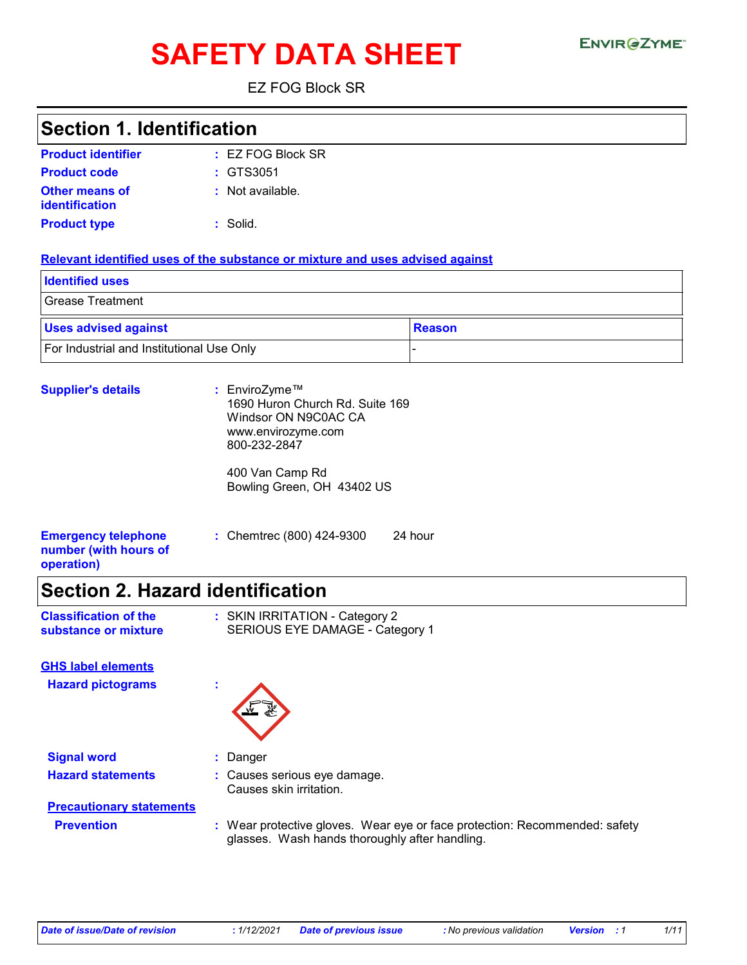# **SAFETY DATA SHEET**

EZ FOG Block SR

## **Section 1. Identification**

| <b>Product identifier</b>               | $\pm$ EZ FOG Block SR |
|-----------------------------------------|-----------------------|
| <b>Product code</b>                     | $\div$ GTS3051        |
| <b>Other means of</b><br>identification | : Not available.      |
| <b>Product type</b>                     | : Solid.              |

#### **Relevant identified uses of the substance or mixture and uses advised against**

| <b>Identified uses</b>                    |          |
|-------------------------------------------|----------|
| Grease Treatment                          |          |
| <b>Uses advised against</b>               | ∣Reason∶ |
| For Industrial and Institutional Use Only |          |

| <b>Supplier's details</b>                                         | : EnviroZyme™<br>1690 Huron Church Rd. Suite 169<br>Windsor ON N9C0AC CA<br>www.envirozyme.com<br>800-232-2847 |  |  |  |
|-------------------------------------------------------------------|----------------------------------------------------------------------------------------------------------------|--|--|--|
|                                                                   | 400 Van Camp Rd<br>Bowling Green, OH 43402 US                                                                  |  |  |  |
| <b>Emergency telephone</b><br>number (with hours of<br>operation) | : Chemtrec (800) 424-9300<br>24 hour                                                                           |  |  |  |

### **Section 2. Hazard identification**

| <b>Classification of the</b> | : SKIN IRRITATION - Category 2  |
|------------------------------|---------------------------------|
| substance or mixture         | SERIOUS EYE DAMAGE - Category 1 |

**Hazard pictograms : GHS label elements**



**Signal word :** Danger **Hazard statements :** Causes serious eye damage.

Causes skin irritation.

# **Precautionary statements**

**Prevention :** Wear protective gloves. Wear eye or face protection: Recommended: safety glasses. Wash hands thoroughly after handling.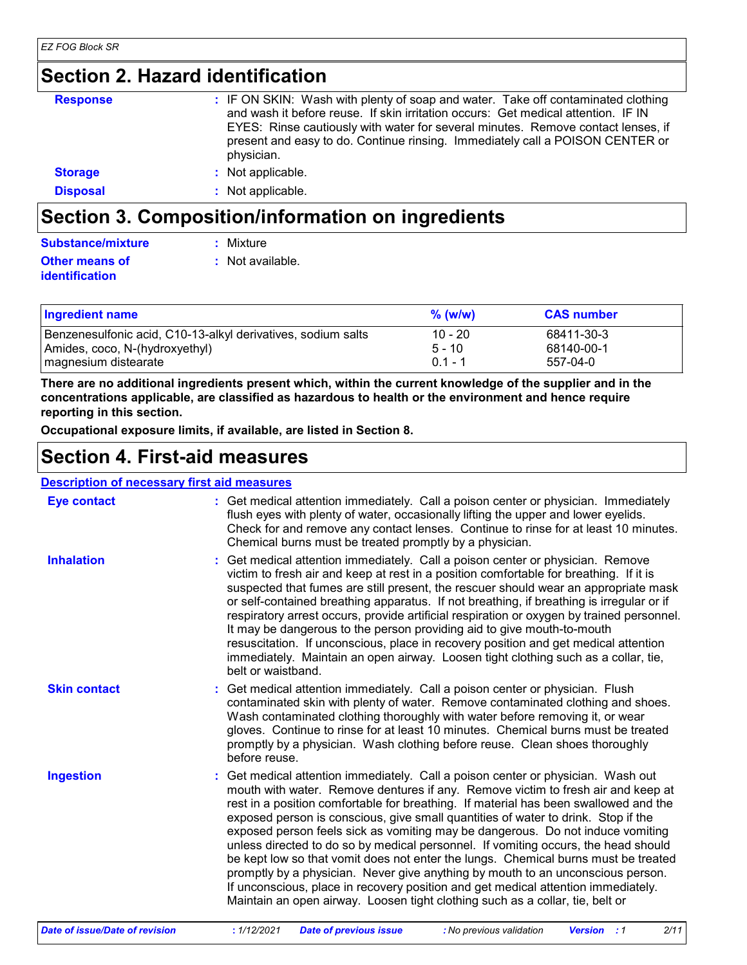# **Section 2. Hazard identification**

| <b>Response</b> | : IF ON SKIN: Wash with plenty of soap and water. Take off contaminated clothing<br>and wash it before reuse. If skin irritation occurs: Get medical attention. IF IN<br>EYES: Rinse cautiously with water for several minutes. Remove contact lenses, if<br>present and easy to do. Continue rinsing. Immediately call a POISON CENTER or<br>physician. |
|-----------------|----------------------------------------------------------------------------------------------------------------------------------------------------------------------------------------------------------------------------------------------------------------------------------------------------------------------------------------------------------|
| <b>Storage</b>  | : Not applicable.                                                                                                                                                                                                                                                                                                                                        |
| <b>Disposal</b> | : Not applicable.                                                                                                                                                                                                                                                                                                                                        |

# **Section 3. Composition/information on ingredients**

| <b>Substance/mixture</b> | : Mixture        |
|--------------------------|------------------|
| <b>Other means of</b>    | : Not available. |
| <b>identification</b>    |                  |

| <b>Ingredient name</b>                                       | $%$ (w/w) | <b>CAS number</b> |
|--------------------------------------------------------------|-----------|-------------------|
| Benzenesulfonic acid, C10-13-alkyl derivatives, sodium salts | $10 - 20$ | 68411-30-3        |
| Amides, coco, N-(hydroxyethyl)                               | $5 - 10$  | 68140-00-1        |
| magnesium distearate                                         | $01 - 1$  | 557-04-0          |

**There are no additional ingredients present which, within the current knowledge of the supplier and in the concentrations applicable, are classified as hazardous to health or the environment and hence require reporting in this section.**

**Occupational exposure limits, if available, are listed in Section 8.**

### **Section 4. First-aid measures**

#### **Description of necessary first aid measures**

| <b>Eye contact</b>  | : Get medical attention immediately. Call a poison center or physician. Immediately<br>flush eyes with plenty of water, occasionally lifting the upper and lower eyelids.<br>Check for and remove any contact lenses. Continue to rinse for at least 10 minutes.<br>Chemical burns must be treated promptly by a physician.                                                                                                                                                                                                                                                                                                                                                                                                                                                                                                                                              |
|---------------------|--------------------------------------------------------------------------------------------------------------------------------------------------------------------------------------------------------------------------------------------------------------------------------------------------------------------------------------------------------------------------------------------------------------------------------------------------------------------------------------------------------------------------------------------------------------------------------------------------------------------------------------------------------------------------------------------------------------------------------------------------------------------------------------------------------------------------------------------------------------------------|
| <b>Inhalation</b>   | : Get medical attention immediately. Call a poison center or physician. Remove<br>victim to fresh air and keep at rest in a position comfortable for breathing. If it is<br>suspected that fumes are still present, the rescuer should wear an appropriate mask<br>or self-contained breathing apparatus. If not breathing, if breathing is irregular or if<br>respiratory arrest occurs, provide artificial respiration or oxygen by trained personnel.<br>It may be dangerous to the person providing aid to give mouth-to-mouth<br>resuscitation. If unconscious, place in recovery position and get medical attention<br>immediately. Maintain an open airway. Loosen tight clothing such as a collar, tie,<br>belt or waistband.                                                                                                                                    |
| <b>Skin contact</b> | : Get medical attention immediately. Call a poison center or physician. Flush<br>contaminated skin with plenty of water. Remove contaminated clothing and shoes.<br>Wash contaminated clothing thoroughly with water before removing it, or wear<br>gloves. Continue to rinse for at least 10 minutes. Chemical burns must be treated<br>promptly by a physician. Wash clothing before reuse. Clean shoes thoroughly<br>before reuse.                                                                                                                                                                                                                                                                                                                                                                                                                                    |
| <b>Ingestion</b>    | : Get medical attention immediately. Call a poison center or physician. Wash out<br>mouth with water. Remove dentures if any. Remove victim to fresh air and keep at<br>rest in a position comfortable for breathing. If material has been swallowed and the<br>exposed person is conscious, give small quantities of water to drink. Stop if the<br>exposed person feels sick as vomiting may be dangerous. Do not induce vomiting<br>unless directed to do so by medical personnel. If vomiting occurs, the head should<br>be kept low so that vomit does not enter the lungs. Chemical burns must be treated<br>promptly by a physician. Never give anything by mouth to an unconscious person.<br>If unconscious, place in recovery position and get medical attention immediately.<br>Maintain an open airway. Loosen tight clothing such as a collar, tie, belt or |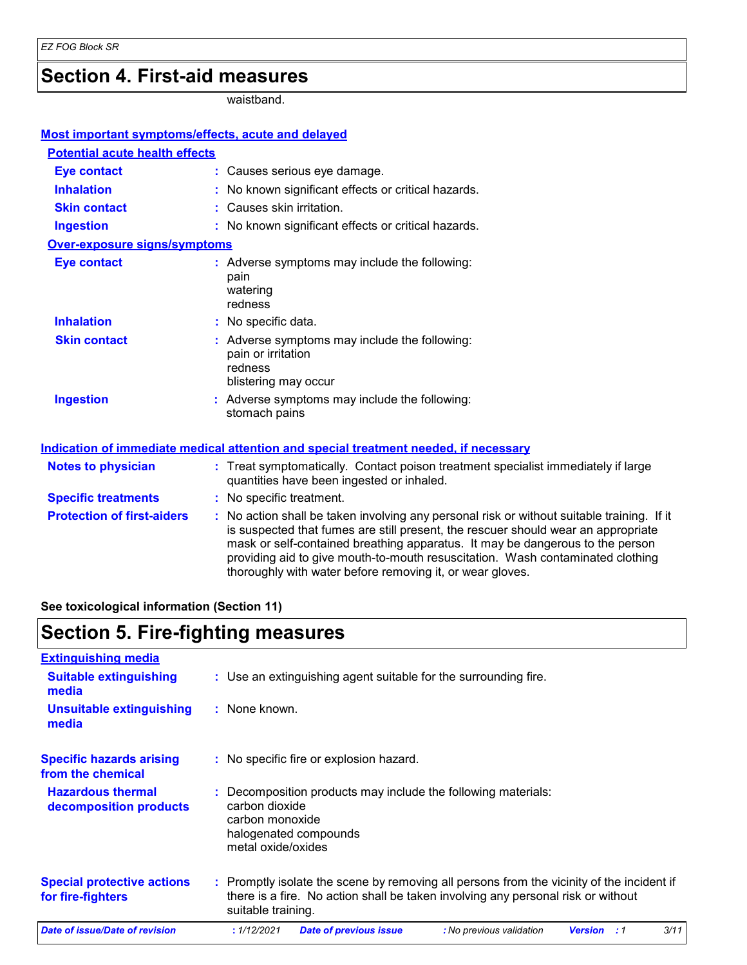# **Section 4. First-aid measures**

waistband.

| Most important symptoms/effects, acute and delayed |                                                                                                                                                                                                                                                                                                                                                                                                                 |
|----------------------------------------------------|-----------------------------------------------------------------------------------------------------------------------------------------------------------------------------------------------------------------------------------------------------------------------------------------------------------------------------------------------------------------------------------------------------------------|
| <b>Potential acute health effects</b>              |                                                                                                                                                                                                                                                                                                                                                                                                                 |
| <b>Eye contact</b>                                 | : Causes serious eye damage.                                                                                                                                                                                                                                                                                                                                                                                    |
| <b>Inhalation</b>                                  | : No known significant effects or critical hazards.                                                                                                                                                                                                                                                                                                                                                             |
| <b>Skin contact</b>                                | : Causes skin irritation.                                                                                                                                                                                                                                                                                                                                                                                       |
| <b>Ingestion</b>                                   | : No known significant effects or critical hazards.                                                                                                                                                                                                                                                                                                                                                             |
| <b>Over-exposure signs/symptoms</b>                |                                                                                                                                                                                                                                                                                                                                                                                                                 |
| <b>Eye contact</b>                                 | : Adverse symptoms may include the following:<br>pain<br>watering<br>redness                                                                                                                                                                                                                                                                                                                                    |
| <b>Inhalation</b>                                  | : No specific data.                                                                                                                                                                                                                                                                                                                                                                                             |
| <b>Skin contact</b>                                | : Adverse symptoms may include the following:<br>pain or irritation<br>redness<br>blistering may occur                                                                                                                                                                                                                                                                                                          |
| <b>Ingestion</b>                                   | : Adverse symptoms may include the following:<br>stomach pains                                                                                                                                                                                                                                                                                                                                                  |
|                                                    | Indication of immediate medical attention and special treatment needed, if necessary                                                                                                                                                                                                                                                                                                                            |
| <b>Notes to physician</b>                          | : Treat symptomatically. Contact poison treatment specialist immediately if large<br>quantities have been ingested or inhaled.                                                                                                                                                                                                                                                                                  |
| <b>Specific treatments</b>                         | : No specific treatment.                                                                                                                                                                                                                                                                                                                                                                                        |
| <b>Protection of first-aiders</b>                  | : No action shall be taken involving any personal risk or without suitable training. If it<br>is suspected that fumes are still present, the rescuer should wear an appropriate<br>mask or self-contained breathing apparatus. It may be dangerous to the person<br>providing aid to give mouth-to-mouth resuscitation. Wash contaminated clothing<br>thoroughly with water before removing it, or wear gloves. |

**See toxicological information (Section 11)**

# **Section 5. Fire-fighting measures**

| <b>Extinguishing media</b>                             |                                                                                                                                                                                                     |
|--------------------------------------------------------|-----------------------------------------------------------------------------------------------------------------------------------------------------------------------------------------------------|
| <b>Suitable extinguishing</b><br>media                 | : Use an extinguishing agent suitable for the surrounding fire.                                                                                                                                     |
| Unsuitable extinguishing<br>media                      | : None known.                                                                                                                                                                                       |
| <b>Specific hazards arising</b><br>from the chemical   | : No specific fire or explosion hazard.                                                                                                                                                             |
| <b>Hazardous thermal</b><br>decomposition products     | Decomposition products may include the following materials:<br>carbon dioxide<br>carbon monoxide<br>halogenated compounds<br>metal oxide/oxides                                                     |
| <b>Special protective actions</b><br>for fire-fighters | : Promptly isolate the scene by removing all persons from the vicinity of the incident if<br>there is a fire. No action shall be taken involving any personal risk or without<br>suitable training. |
| <b>Date of issue/Date of revision</b>                  | 3/11<br>: 1/12/2021<br><b>Date of previous issue</b><br>: No previous validation<br><b>Version</b><br>:1                                                                                            |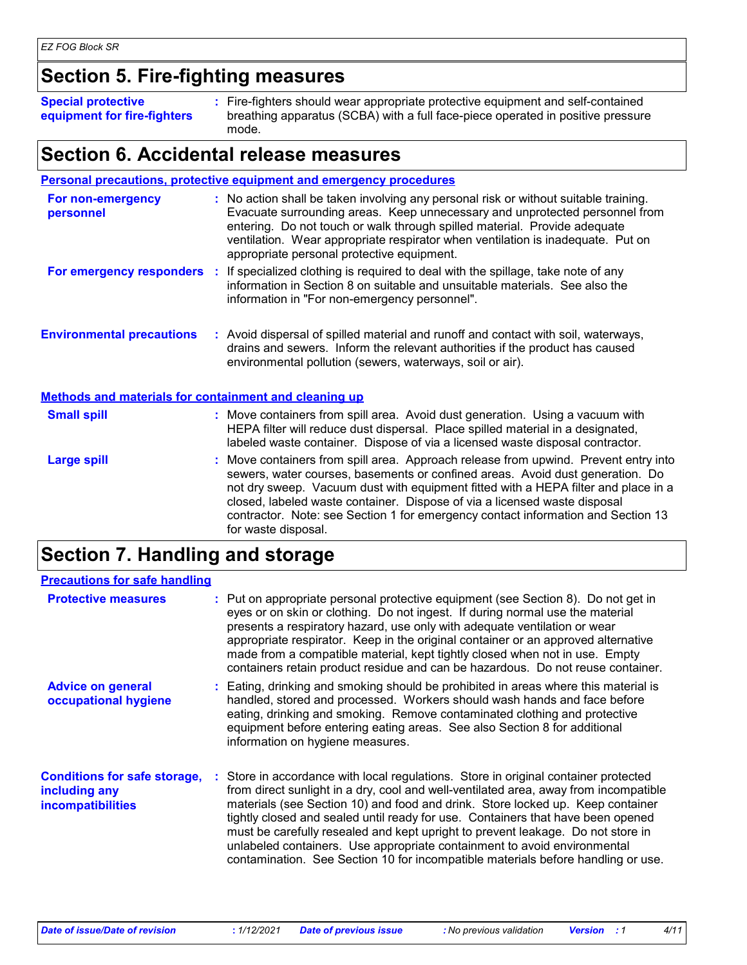# **Section 5. Fire-fighting measures**

**Special protective equipment for fire-fighters** Fire-fighters should wear appropriate protective equipment and self-contained **:** breathing apparatus (SCBA) with a full face-piece operated in positive pressure mode.

### **Section 6. Accidental release measures**

|                                                              |  | <b>Personal precautions, protective equipment and emergency procedures</b>                                                                                                                                                                                                                                                                                                                                                                         |  |
|--------------------------------------------------------------|--|----------------------------------------------------------------------------------------------------------------------------------------------------------------------------------------------------------------------------------------------------------------------------------------------------------------------------------------------------------------------------------------------------------------------------------------------------|--|
| For non-emergency<br>personnel                               |  | : No action shall be taken involving any personal risk or without suitable training.<br>Evacuate surrounding areas. Keep unnecessary and unprotected personnel from<br>entering. Do not touch or walk through spilled material. Provide adequate<br>ventilation. Wear appropriate respirator when ventilation is inadequate. Put on<br>appropriate personal protective equipment.                                                                  |  |
| For emergency responders                                     |  | : If specialized clothing is required to deal with the spillage, take note of any<br>information in Section 8 on suitable and unsuitable materials. See also the<br>information in "For non-emergency personnel".                                                                                                                                                                                                                                  |  |
| <b>Environmental precautions</b>                             |  | : Avoid dispersal of spilled material and runoff and contact with soil, waterways,<br>drains and sewers. Inform the relevant authorities if the product has caused<br>environmental pollution (sewers, waterways, soil or air).                                                                                                                                                                                                                    |  |
| <b>Methods and materials for containment and cleaning up</b> |  |                                                                                                                                                                                                                                                                                                                                                                                                                                                    |  |
| <b>Small spill</b>                                           |  | : Move containers from spill area. Avoid dust generation. Using a vacuum with<br>HEPA filter will reduce dust dispersal. Place spilled material in a designated,<br>labeled waste container. Dispose of via a licensed waste disposal contractor.                                                                                                                                                                                                  |  |
| <b>Large spill</b>                                           |  | : Move containers from spill area. Approach release from upwind. Prevent entry into<br>sewers, water courses, basements or confined areas. Avoid dust generation. Do<br>not dry sweep. Vacuum dust with equipment fitted with a HEPA filter and place in a<br>closed, labeled waste container. Dispose of via a licensed waste disposal<br>contractor. Note: see Section 1 for emergency contact information and Section 13<br>for waste disposal. |  |

# **Section 7. Handling and storage**

| <b>Precautions for safe handling</b>                                             |                                                                                                                                                                                                                                                                                                                                                                                                                                                                                                                                                                                                     |
|----------------------------------------------------------------------------------|-----------------------------------------------------------------------------------------------------------------------------------------------------------------------------------------------------------------------------------------------------------------------------------------------------------------------------------------------------------------------------------------------------------------------------------------------------------------------------------------------------------------------------------------------------------------------------------------------------|
| <b>Protective measures</b>                                                       | : Put on appropriate personal protective equipment (see Section 8). Do not get in<br>eyes or on skin or clothing. Do not ingest. If during normal use the material<br>presents a respiratory hazard, use only with adequate ventilation or wear<br>appropriate respirator. Keep in the original container or an approved alternative<br>made from a compatible material, kept tightly closed when not in use. Empty<br>containers retain product residue and can be hazardous. Do not reuse container.                                                                                              |
| <b>Advice on general</b><br>occupational hygiene                                 | : Eating, drinking and smoking should be prohibited in areas where this material is<br>handled, stored and processed. Workers should wash hands and face before<br>eating, drinking and smoking. Remove contaminated clothing and protective<br>equipment before entering eating areas. See also Section 8 for additional<br>information on hygiene measures.                                                                                                                                                                                                                                       |
| <b>Conditions for safe storage,</b><br>including any<br><b>incompatibilities</b> | : Store in accordance with local regulations. Store in original container protected<br>from direct sunlight in a dry, cool and well-ventilated area, away from incompatible<br>materials (see Section 10) and food and drink. Store locked up. Keep container<br>tightly closed and sealed until ready for use. Containers that have been opened<br>must be carefully resealed and kept upright to prevent leakage. Do not store in<br>unlabeled containers. Use appropriate containment to avoid environmental<br>contamination. See Section 10 for incompatible materials before handling or use. |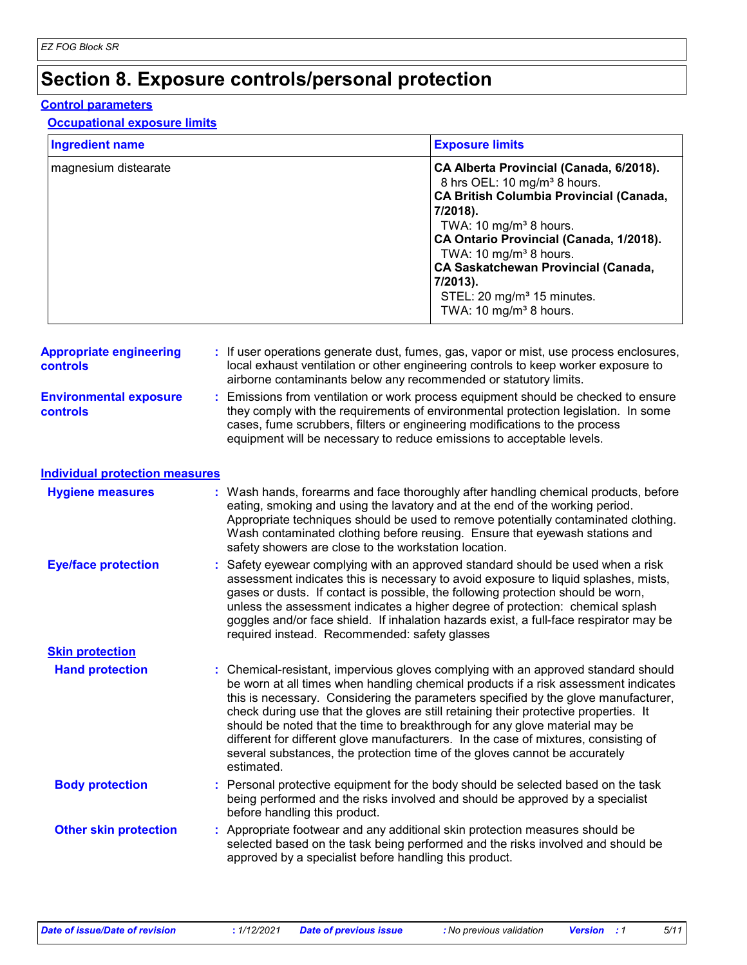# **Section 8. Exposure controls/personal protection**

#### **Control parameters**

#### **Occupational exposure limits**

| <b>Ingredient name</b> | <b>Exposure limits</b>                                                                                                                                                                                                                                                                                                                                                                                             |
|------------------------|--------------------------------------------------------------------------------------------------------------------------------------------------------------------------------------------------------------------------------------------------------------------------------------------------------------------------------------------------------------------------------------------------------------------|
| magnesium distearate   | CA Alberta Provincial (Canada, 6/2018).<br>8 hrs OEL: 10 mg/m <sup>3</sup> 8 hours.<br><b>CA British Columbia Provincial (Canada,</b><br>7/2018).<br>TWA: 10 mg/m <sup>3</sup> 8 hours.<br>CA Ontario Provincial (Canada, 1/2018).<br>TWA: 10 mg/m <sup>3</sup> 8 hours.<br><b>CA Saskatchewan Provincial (Canada,</b><br>7/2013).<br>STEL: 20 mg/m <sup>3</sup> 15 minutes.<br>TWA: 10 mg/m <sup>3</sup> 8 hours. |

| <b>Appropriate engineering</b><br><b>controls</b> | : If user operations generate dust, fumes, gas, vapor or mist, use process enclosures,<br>local exhaust ventilation or other engineering controls to keep worker exposure to<br>airborne contaminants below any recommended or statutory limits.                                                                                |
|---------------------------------------------------|---------------------------------------------------------------------------------------------------------------------------------------------------------------------------------------------------------------------------------------------------------------------------------------------------------------------------------|
| <b>Environmental exposure</b><br><b>controls</b>  | : Emissions from ventilation or work process equipment should be checked to ensure<br>they comply with the requirements of environmental protection legislation. In some<br>cases, fume scrubbers, filters or engineering modifications to the process<br>equipment will be necessary to reduce emissions to acceptable levels. |

| Individual protection measures |  |
|--------------------------------|--|
|--------------------------------|--|

| <b>Hygiene measures</b>      | : Wash hands, forearms and face thoroughly after handling chemical products, before<br>eating, smoking and using the lavatory and at the end of the working period.<br>Appropriate techniques should be used to remove potentially contaminated clothing.<br>Wash contaminated clothing before reusing. Ensure that eyewash stations and<br>safety showers are close to the workstation location.                                                                                                                                                                                                                         |
|------------------------------|---------------------------------------------------------------------------------------------------------------------------------------------------------------------------------------------------------------------------------------------------------------------------------------------------------------------------------------------------------------------------------------------------------------------------------------------------------------------------------------------------------------------------------------------------------------------------------------------------------------------------|
| <b>Eye/face protection</b>   | : Safety eyewear complying with an approved standard should be used when a risk<br>assessment indicates this is necessary to avoid exposure to liquid splashes, mists,<br>gases or dusts. If contact is possible, the following protection should be worn,<br>unless the assessment indicates a higher degree of protection: chemical splash<br>goggles and/or face shield. If inhalation hazards exist, a full-face respirator may be<br>required instead. Recommended: safety glasses                                                                                                                                   |
| <b>Skin protection</b>       |                                                                                                                                                                                                                                                                                                                                                                                                                                                                                                                                                                                                                           |
| <b>Hand protection</b>       | : Chemical-resistant, impervious gloves complying with an approved standard should<br>be worn at all times when handling chemical products if a risk assessment indicates<br>this is necessary. Considering the parameters specified by the glove manufacturer,<br>check during use that the gloves are still retaining their protective properties. It<br>should be noted that the time to breakthrough for any glove material may be<br>different for different glove manufacturers. In the case of mixtures, consisting of<br>several substances, the protection time of the gloves cannot be accurately<br>estimated. |
| <b>Body protection</b>       | : Personal protective equipment for the body should be selected based on the task<br>being performed and the risks involved and should be approved by a specialist<br>before handling this product.                                                                                                                                                                                                                                                                                                                                                                                                                       |
| <b>Other skin protection</b> | : Appropriate footwear and any additional skin protection measures should be<br>selected based on the task being performed and the risks involved and should be<br>approved by a specialist before handling this product.                                                                                                                                                                                                                                                                                                                                                                                                 |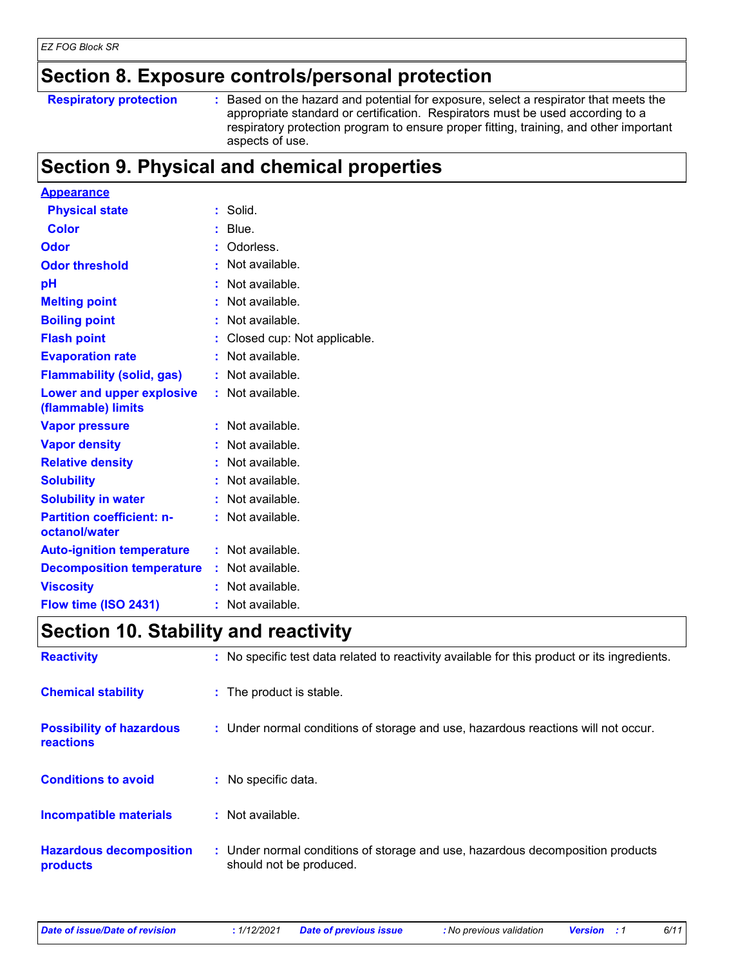### **Section 8. Exposure controls/personal protection**

**Respiratory protection :**

: Based on the hazard and potential for exposure, select a respirator that meets the appropriate standard or certification. Respirators must be used according to a respiratory protection program to ensure proper fitting, training, and other important aspects of use.

# **Section 9. Physical and chemical properties**

| <b>Appearance</b>                                 |    |                             |
|---------------------------------------------------|----|-----------------------------|
| <b>Physical state</b>                             |    | Solid.                      |
| <b>Color</b>                                      |    | Blue.                       |
| Odor                                              |    | Odorless.                   |
| <b>Odor threshold</b>                             |    | Not available.              |
| рH                                                |    | Not available.              |
| <b>Melting point</b>                              |    | Not available.              |
| <b>Boiling point</b>                              |    | Not available.              |
| <b>Flash point</b>                                |    | Closed cup: Not applicable. |
| <b>Evaporation rate</b>                           |    | Not available.              |
| <b>Flammability (solid, gas)</b>                  |    | Not available.              |
| Lower and upper explosive<br>(flammable) limits   |    | : Not available.            |
| <b>Vapor pressure</b>                             |    | Not available.              |
| <b>Vapor density</b>                              |    | Not available.              |
| <b>Relative density</b>                           |    | Not available.              |
| <b>Solubility</b>                                 |    | Not available.              |
| <b>Solubility in water</b>                        |    | Not available.              |
| <b>Partition coefficient: n-</b><br>octanol/water |    | : Not available.            |
| <b>Auto-ignition temperature</b>                  |    | Not available.              |
| <b>Decomposition temperature</b>                  | t. | Not available.              |
| <b>Viscosity</b>                                  |    | Not available.              |
| Flow time (ISO 2431)                              |    | Not available.              |

### **Section 10. Stability and reactivity**

| <b>Reactivity</b>                                   | : No specific test data related to reactivity available for this product or its ingredients.              |
|-----------------------------------------------------|-----------------------------------------------------------------------------------------------------------|
| <b>Chemical stability</b>                           | : The product is stable.                                                                                  |
| <b>Possibility of hazardous</b><br><b>reactions</b> | : Under normal conditions of storage and use, hazardous reactions will not occur.                         |
| <b>Conditions to avoid</b>                          | : No specific data.                                                                                       |
| <b>Incompatible materials</b>                       | : Not available.                                                                                          |
| <b>Hazardous decomposition</b><br>products          | : Under normal conditions of storage and use, hazardous decomposition products<br>should not be produced. |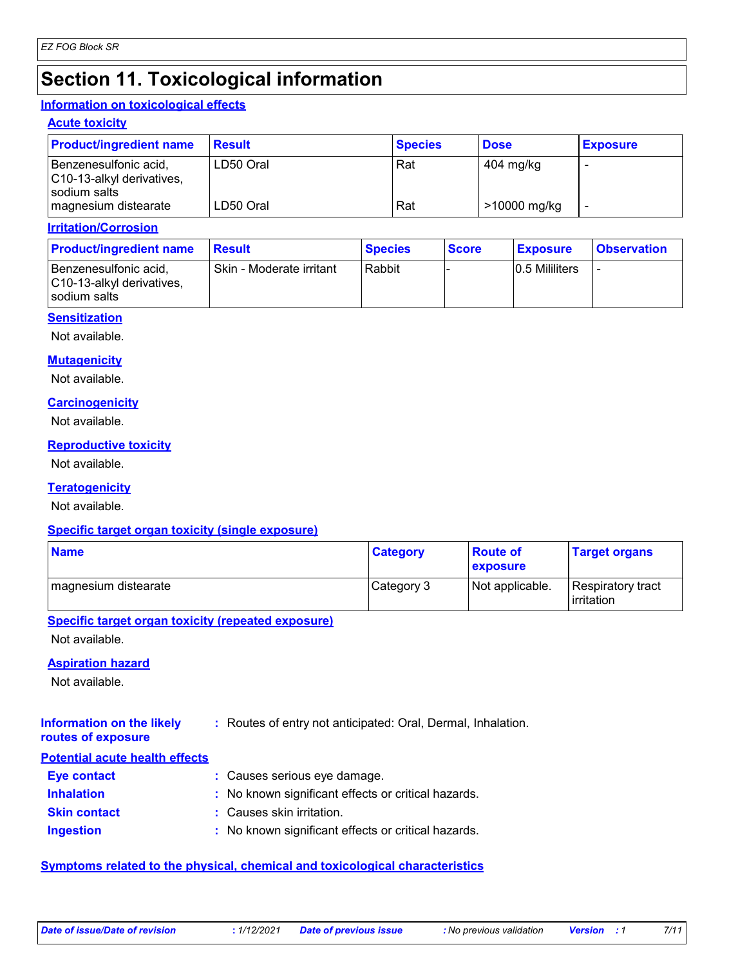# **Section 11. Toxicological information**

#### **Information on toxicological effects**

#### **Acute toxicity**

| <b>Product/ingredient name</b>                                     | <b>Result</b> | <b>Species</b> | <b>Dose</b>  | <b>Exposure</b> |
|--------------------------------------------------------------------|---------------|----------------|--------------|-----------------|
| Benzenesulfonic acid,<br>C10-13-alkyl derivatives,<br>sodium salts | LD50 Oral     | Rat            | 404 mg/kg    |                 |
| magnesium distearate                                               | LD50 Oral     | Rat            | >10000 mg/kg |                 |

#### **Irritation/Corrosion**

| <b>Product/ingredient name</b>                                       | <b>Result</b>            | <b>Species</b> | <b>Score</b> | <b>Exposure</b> | <b>Observation</b> |
|----------------------------------------------------------------------|--------------------------|----------------|--------------|-----------------|--------------------|
| l Benzenesulfonic acid.<br>C10-13-alkyl derivatives,<br>sodium salts | Skin - Moderate irritant | Rabbit         |              | 0.5 Mililiters  |                    |

#### **Sensitization**

Not available.

#### **Mutagenicity**

Not available.

#### **Carcinogenicity**

Not available.

#### **Reproductive toxicity**

Not available.

#### **Teratogenicity**

Not available.

#### **Specific target organ toxicity (single exposure)**

| <b>Name</b>          | <b>Category</b> | <b>Route of</b><br><b>exposure</b> | <b>Target organs</b>            |
|----------------------|-----------------|------------------------------------|---------------------------------|
| magnesium distearate | Category 3      | Not applicable.                    | Respiratory tract<br>irritation |

#### **Specific target organ toxicity (repeated exposure)**

Not available.

#### **Aspiration hazard**

Not available.

| <b>Information on the likely</b> | : Routes of entry not anticipated: Oral, Dermal, Inhalation. |  |
|----------------------------------|--------------------------------------------------------------|--|
|----------------------------------|--------------------------------------------------------------|--|

# **routes of exposure**

**Inhalation :** No known significant effects or critical hazards. **Ingestion :** No known significant effects or critical hazards. **Skin contact :** Causes skin irritation. **Eye contact :** Causes serious eye damage. **Potential acute health effects**

#### **Symptoms related to the physical, chemical and toxicological characteristics**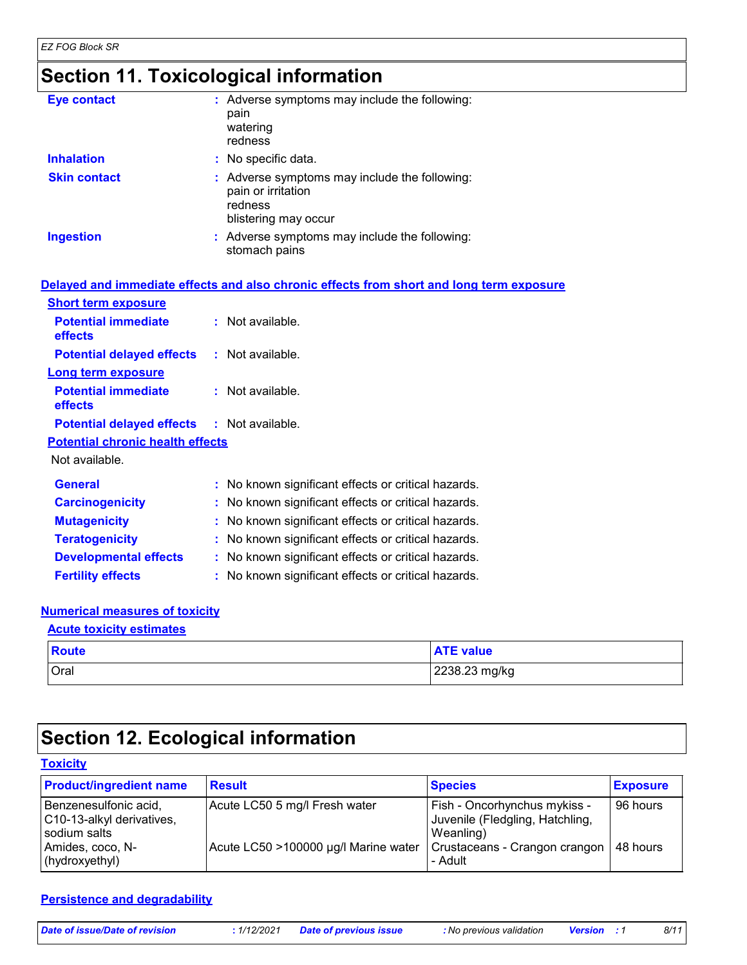# **Section 11. Toxicological information**

| <b>Eye contact</b>  | : Adverse symptoms may include the following:<br>pain<br>watering<br>redness                           |
|---------------------|--------------------------------------------------------------------------------------------------------|
| <b>Inhalation</b>   | : No specific data.                                                                                    |
| <b>Skin contact</b> | : Adverse symptoms may include the following:<br>pain or irritation<br>redness<br>blistering may occur |
| <b>Ingestion</b>    | : Adverse symptoms may include the following:<br>stomach pains                                         |

|                                                   | Delayed and immediate effects and also chronic effects from short and long term exposure |
|---------------------------------------------------|------------------------------------------------------------------------------------------|
| <b>Short term exposure</b>                        |                                                                                          |
| <b>Potential immediate</b><br>effects             | $:$ Not available.                                                                       |
| <b>Potential delayed effects : Not available.</b> |                                                                                          |
| <b>Long term exposure</b>                         |                                                                                          |
| <b>Potential immediate</b><br><b>effects</b>      | $:$ Not available.                                                                       |
| <b>Potential delayed effects : Not available.</b> |                                                                                          |
| <b>Potential chronic health effects</b>           |                                                                                          |
| Not available.                                    |                                                                                          |
| <b>General</b>                                    | : No known significant effects or critical hazards.                                      |
| <b>Carcinogenicity</b>                            | : No known significant effects or critical hazards.                                      |
| <b>Mutagenicity</b>                               | : No known significant effects or critical hazards.                                      |
| <b>Teratogenicity</b>                             | : No known significant effects or critical hazards.                                      |
| <b>Developmental effects</b>                      | : No known significant effects or critical hazards.                                      |
| <b>Fertility effects</b>                          | : No known significant effects or critical hazards.                                      |

#### **Numerical measures of toxicity**

| <b>Acute toxicity estimates</b> |                  |  |
|---------------------------------|------------------|--|
| Route                           | <b>ATE</b> value |  |
| Oral                            | 2238.23 mg/kg    |  |

# **Section 12. Ecological information**

#### **Toxicity**

| <b>Product/ingredient name</b>                                                                           | <b>Result</b>                                                         | <b>Species</b>                                                                                                                      | <b>Exposure</b> |
|----------------------------------------------------------------------------------------------------------|-----------------------------------------------------------------------|-------------------------------------------------------------------------------------------------------------------------------------|-----------------|
| Benzenesulfonic acid,<br>C10-13-alkyl derivatives,<br>sodium salts<br>Amides, coco, N-<br>(hydroxyethyl) | Acute LC50 5 mg/l Fresh water<br>Acute LC50 >100000 µg/l Marine water | Fish - Oncorhynchus mykiss -<br>Juvenile (Fledgling, Hatchling,<br>Weanling)<br>Crustaceans - Crangon crangon   48 hours<br>- Adult | 96 hours        |

#### **Persistence and degradability**

| Date of issue/Date of revision | 1/12/2021 | <b>Date of previous issue</b> | : No previous validation | <b>Version</b> : 1 | 8/11 |
|--------------------------------|-----------|-------------------------------|--------------------------|--------------------|------|
|--------------------------------|-----------|-------------------------------|--------------------------|--------------------|------|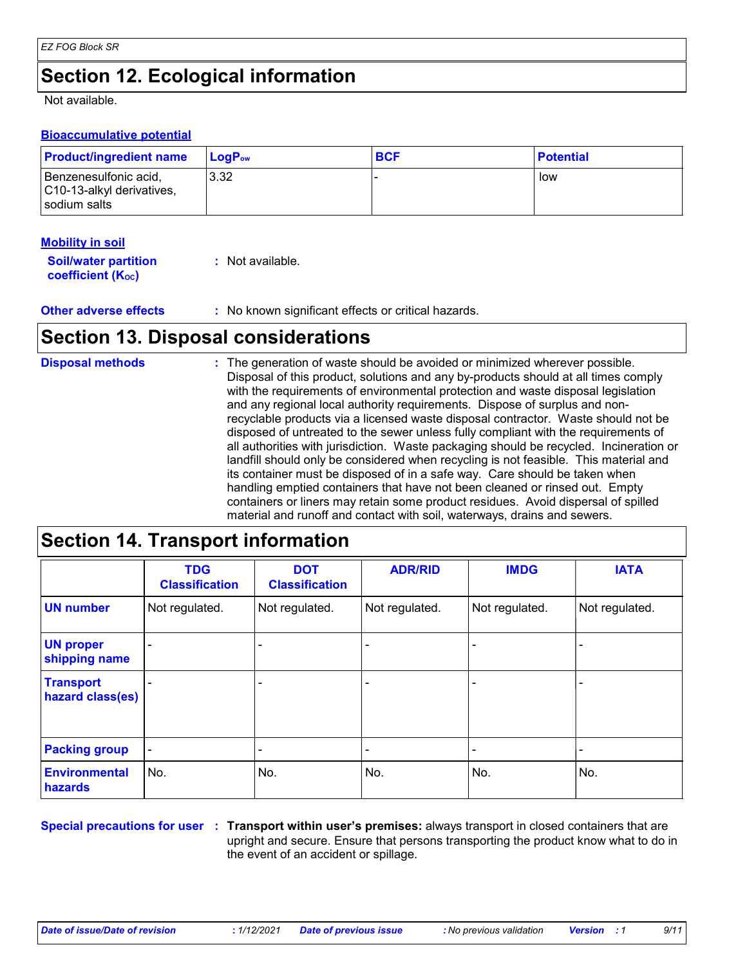# **Section 12. Ecological information**

Not available.

#### **Bioaccumulative potential**

| <b>Product/ingredient name</b>                                       | <b>LogP</b> <sub>ow</sub> | <b>BCF</b> | <b>Potential</b> |
|----------------------------------------------------------------------|---------------------------|------------|------------------|
| Benzenesulfonic acid,<br>C10-13-alkyl derivatives,<br>l sodium salts | 3.32                      |            | low              |

#### **Mobility in soil**

| <b>Soil/water partition</b>    | : Not available. |
|--------------------------------|------------------|
| coefficient (K <sub>oc</sub> ) |                  |

**Other adverse effects** : No known significant effects or critical hazards.

### **Section 13. Disposal considerations**

| <b>Disposal methods</b> | : The generation of waste should be avoided or minimized wherever possible.<br>Disposal of this product, solutions and any by-products should at all times comply<br>with the requirements of environmental protection and waste disposal legislation<br>and any regional local authority requirements. Dispose of surplus and non-<br>recyclable products via a licensed waste disposal contractor. Waste should not be<br>disposed of untreated to the sewer unless fully compliant with the requirements of<br>all authorities with jurisdiction. Waste packaging should be recycled. Incineration or<br>landfill should only be considered when recycling is not feasible. This material and<br>its container must be disposed of in a safe way. Care should be taken when<br>handling emptied containers that have not been cleaned or rinsed out. Empty |
|-------------------------|---------------------------------------------------------------------------------------------------------------------------------------------------------------------------------------------------------------------------------------------------------------------------------------------------------------------------------------------------------------------------------------------------------------------------------------------------------------------------------------------------------------------------------------------------------------------------------------------------------------------------------------------------------------------------------------------------------------------------------------------------------------------------------------------------------------------------------------------------------------|
|                         | containers or liners may retain some product residues. Avoid dispersal of spilled<br>material and runoff and contact with soil, waterways, drains and sewers.                                                                                                                                                                                                                                                                                                                                                                                                                                                                                                                                                                                                                                                                                                 |

### **Section 14. Transport information**

|                                      | <b>TDG</b><br><b>Classification</b> | <b>DOT</b><br><b>Classification</b> | <b>ADR/RID</b> | <b>IMDG</b>              | <b>IATA</b>              |
|--------------------------------------|-------------------------------------|-------------------------------------|----------------|--------------------------|--------------------------|
| <b>UN number</b>                     | Not regulated.                      | Not regulated.                      | Not regulated. | Not regulated.           | Not regulated.           |
| <b>UN proper</b><br>shipping name    | $\overline{\phantom{0}}$            |                                     |                | $\overline{\phantom{0}}$ |                          |
| <b>Transport</b><br>hazard class(es) |                                     |                                     |                | $\overline{\phantom{0}}$ |                          |
| <b>Packing group</b>                 | $\overline{\phantom{a}}$            | -                                   |                | $\overline{\phantom{a}}$ | $\overline{\phantom{0}}$ |
| <b>Environmental</b><br>hazards      | No.                                 | No.                                 | No.            | No.                      | No.                      |

**Special precautions for user Transport within user's premises:** always transport in closed containers that are **:** upright and secure. Ensure that persons transporting the product know what to do in the event of an accident or spillage.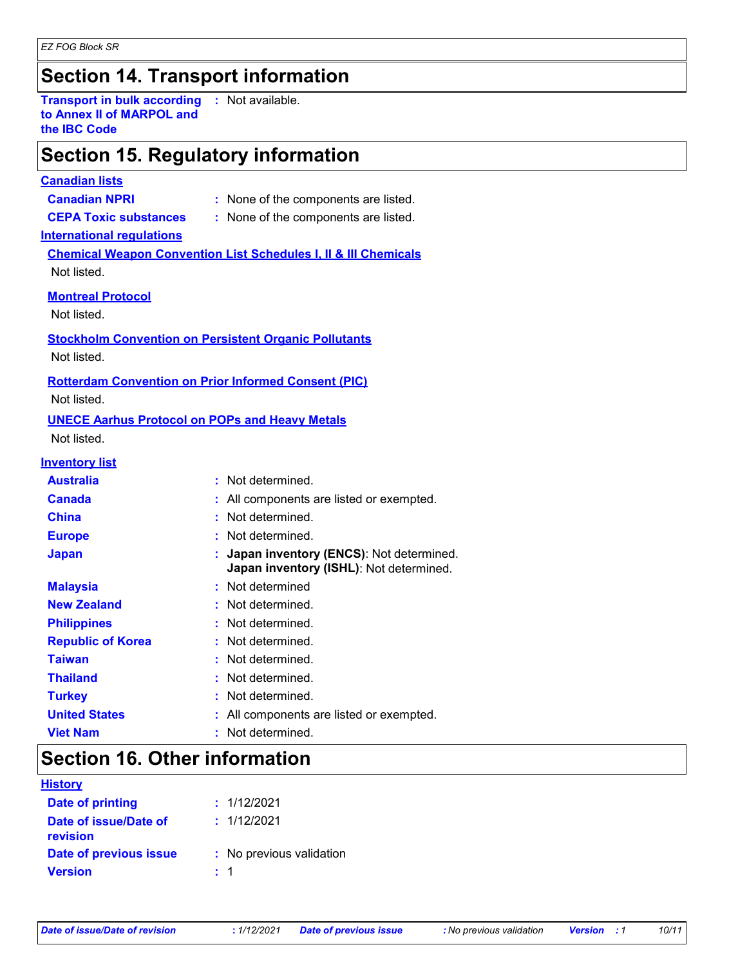# **Section 14. Transport information**

**Transport in bulk according to Annex II of MARPOL and the IBC Code :** Not available.

### **Section 15. Regulatory information**

#### **Canadian lists**

- **Canadian NPRI :** None of the components are listed.
- **CEPA Toxic substances :** None of the components are listed.

#### **International regulations**

**Chemical Weapon Convention List Schedules I, II & III Chemicals** Not listed.

#### **Montreal Protocol**

Not listed.

**Stockholm Convention on Persistent Organic Pollutants**

Not listed.

#### **Rotterdam Convention on Prior Informed Consent (PIC)**

Not listed.

#### **UNECE Aarhus Protocol on POPs and Heavy Metals**

Not listed.

#### **Inventory list**

| <b>Australia</b>         | : Not determined.                                                                    |
|--------------------------|--------------------------------------------------------------------------------------|
| <b>Canada</b>            | : All components are listed or exempted.                                             |
| <b>China</b>             | : Not determined.                                                                    |
| <b>Europe</b>            | : Not determined.                                                                    |
| <b>Japan</b>             | : Japan inventory (ENCS): Not determined.<br>Japan inventory (ISHL): Not determined. |
| <b>Malaysia</b>          | : Not determined                                                                     |
| <b>New Zealand</b>       | : Not determined.                                                                    |
| <b>Philippines</b>       | : Not determined.                                                                    |
| <b>Republic of Korea</b> | : Not determined.                                                                    |
| <b>Taiwan</b>            | : Not determined.                                                                    |
| <b>Thailand</b>          | : Not determined.                                                                    |
| <b>Turkey</b>            | : Not determined.                                                                    |
| <b>United States</b>     | : All components are listed or exempted.                                             |
| <b>Viet Nam</b>          | : Not determined.                                                                    |

### **Section 16. Other information**

| <b>History</b>                    |                          |
|-----------------------------------|--------------------------|
| <b>Date of printing</b>           | : 1/12/2021              |
| Date of issue/Date of<br>revision | : 1/12/2021              |
| Date of previous issue            | : No previous validation |
| <b>Version</b>                    | : 1                      |